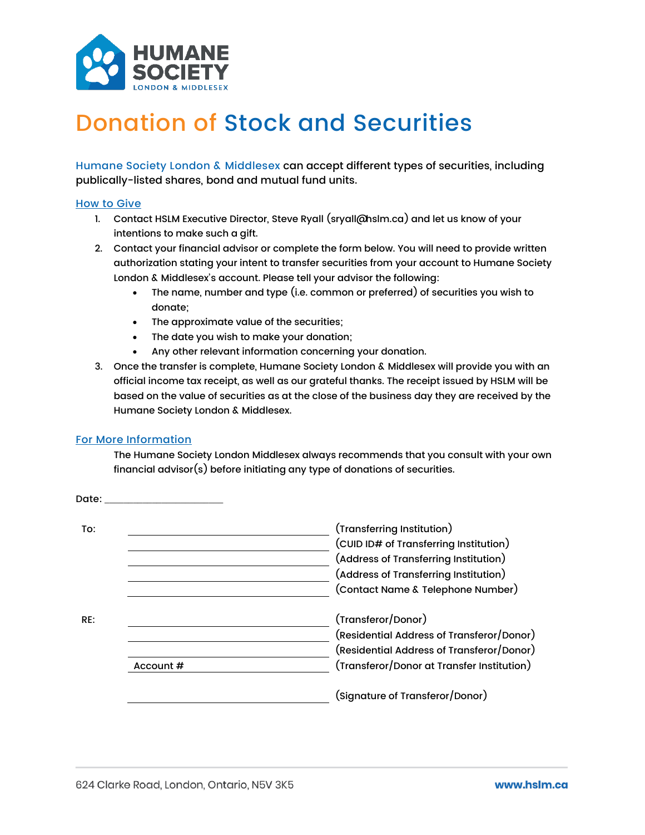

## Donation of Stock and Securities

Humane Society London & Middlesex can accept different types of securities, including publically-listed shares, bond and mutual fund units.

## How to Give

- 1. Contact HSLM Executive Director, Steve Ryall (sryall@hslm.ca) and let us know of your intentions to make such a gift.
- 2. Contact your financial advisor or complete the form below. You will need to provide written authorization stating your intent to transfer securities from your account to Humane Society London & Middlesex's account. Please tell your advisor the following:
	- The name, number and type (i.e. common or preferred) of securities you wish to donate;
	- The approximate value of the securities;
	- The date you wish to make your donation;
	- Any other relevant information concerning your donation.
- 3. Once the transfer is complete, Humane Society London & Middlesex will provide you with an official income tax receipt, as well as our grateful thanks. The receipt issued by HSLM will be based on the value of securities as at the close of the business day they are received by the Humane Society London & Middlesex.

## For More Information

The Humane Society London Middlesex always recommends that you consult with your own financial advisor(s) before initiating any type of donations of securities.

|           | (Transferring Institution)<br>(CUID ID# of Transferring Institution) |
|-----------|----------------------------------------------------------------------|
|           | (Address of Transferring Institution)                                |
|           | (Address of Transferring Institution)                                |
|           | (Contact Name & Telephone Number)                                    |
| RE:       | (Transferor/Donor)                                                   |
|           | (Residential Address of Transferor/Donor)                            |
|           | (Residential Address of Transferor/Donor)                            |
| Account # | (Transferor/Donor at Transfer Institution)                           |
|           | (Signature of Transferor/Donor)                                      |
|           |                                                                      |